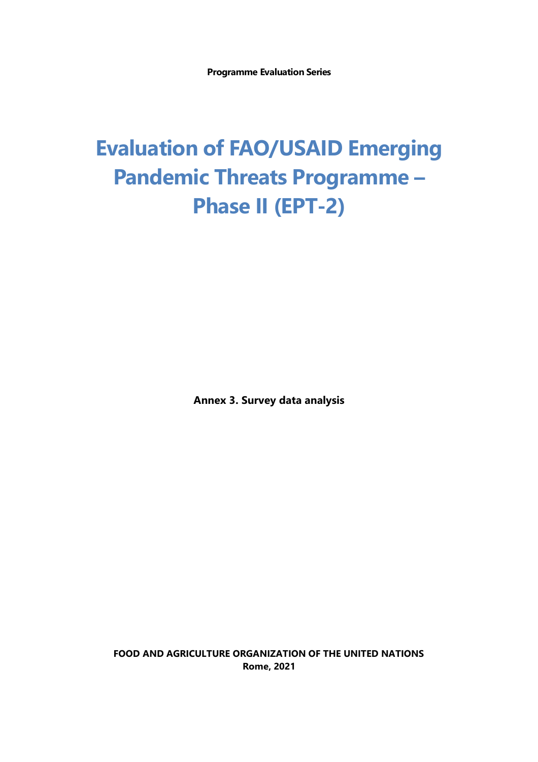**Programme Evaluation Series**

# **Evaluation of FAO/USAID Emerging Pandemic Threats Programme – Phase II (EPT-2)**

**Annex 3. Survey data analysis**

**FOOD AND AGRICULTURE ORGANIZATION OF THE UNITED NATIONS Rome, 2021**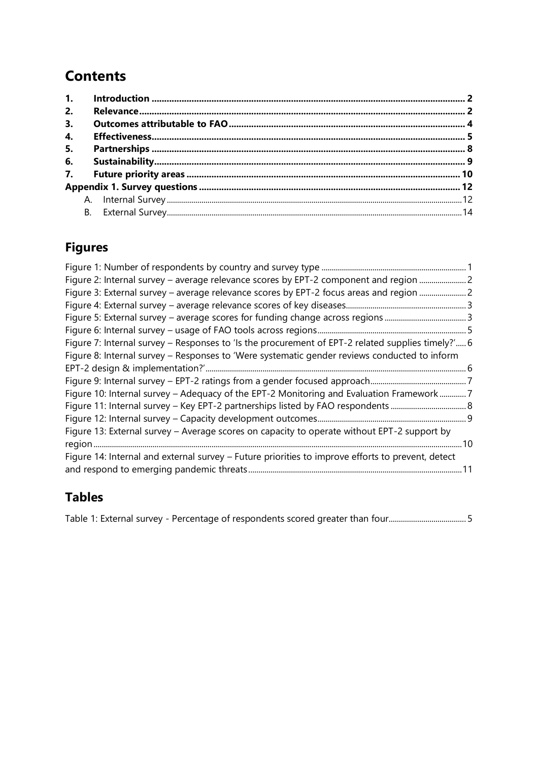# **Contents**

| 2. |  |  |  |  |
|----|--|--|--|--|
| 3. |  |  |  |  |
| 4. |  |  |  |  |
| 5. |  |  |  |  |
| 6. |  |  |  |  |
|    |  |  |  |  |
|    |  |  |  |  |
|    |  |  |  |  |
|    |  |  |  |  |

# <span id="page-1-0"></span>**Figures**

| Figure 2: Internal survey - average relevance scores by EPT-2 component and region  2             |  |
|---------------------------------------------------------------------------------------------------|--|
| Figure 3: External survey - average relevance scores by EPT-2 focus areas and region              |  |
|                                                                                                   |  |
|                                                                                                   |  |
|                                                                                                   |  |
| Figure 7: Internal survey - Responses to 'Is the procurement of EPT-2 related supplies timely?' 6 |  |
| Figure 8: Internal survey - Responses to 'Were systematic gender reviews conducted to inform      |  |
|                                                                                                   |  |
|                                                                                                   |  |
| Figure 10: Internal survey – Adequacy of the EPT-2 Monitoring and Evaluation Framework7           |  |
|                                                                                                   |  |
|                                                                                                   |  |
| Figure 13: External survey - Average scores on capacity to operate without EPT-2 support by       |  |
|                                                                                                   |  |
| Figure 14: Internal and external survey - Future priorities to improve efforts to prevent, detect |  |
|                                                                                                   |  |
|                                                                                                   |  |

# **Tables**

Table 1: External survey - [Percentage of respondents scored greater than four......................................](#page-6-2) 5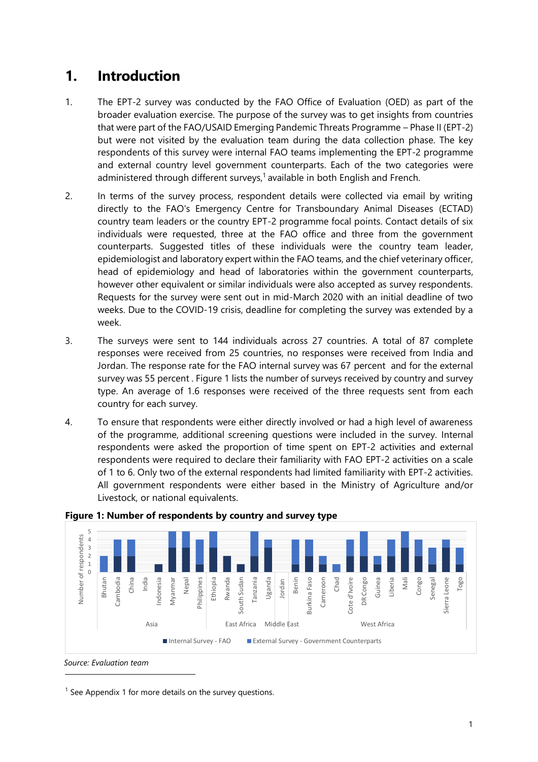# **1. Introduction**

- 1. The EPT-2 survey was conducted by the FAO Office of Evaluation (OED) as part of the broader evaluation exercise. The purpose of the survey was to get insights from countries that were part of the FAO/USAID Emerging Pandemic Threats Programme – Phase II (EPT-2) but were not visited by the evaluation team during the data collection phase. The key respondents of this survey were internal FAO teams implementing the EPT-2 programme and external country level government counterparts. Each of the two categories were administered through different surveys,<sup>1</sup> available in both English and French.
- 2. In terms of the survey process, respondent details were collected via email by writing directly to the FAO's Emergency Centre for Transboundary Animal Diseases (ECTAD) country team leaders or the country EPT-2 programme focal points. Contact details of six individuals were requested, three at the FAO office and three from the government counterparts. Suggested titles of these individuals were the country team leader, epidemiologist and laboratory expert within the FAO teams, and the chief veterinary officer, head of epidemiology and head of laboratories within the government counterparts, however other equivalent or similar individuals were also accepted as survey respondents. Requests for the survey were sent out in mid-March 2020 with an initial deadline of two weeks. Due to the COVID-19 crisis, deadline for completing the survey was extended by a week.
- 3. The surveys were sent to 144 individuals across 27 countries. A total of 87 complete responses were received from 25 countries, no responses were received from India and Jordan. The response rate for the FAO internal survey was 67 percent and for the external survey was 55 percent . Figure 1 lists the number of surveys received by country and survey type. An average of 1.6 responses were received of the three requests sent from each country for each survey.
- 4. To ensure that respondents were either directly involved or had a high level of awareness of the programme, additional screening questions were included in the survey. Internal respondents were asked the proportion of time spent on EPT-2 activities and external respondents were required to declare their familiarity with FAO EPT-2 activities on a scale of 1 to 6. Only two of the external respondents had limited familiarity with EPT-2 activities. All government respondents were either based in the Ministry of Agriculture and/or Livestock, or national equivalents.



<span id="page-2-0"></span>

 $<sup>1</sup>$  See Appendix 1 for more details on the survey questions.</sup>

*Source: Evaluation team*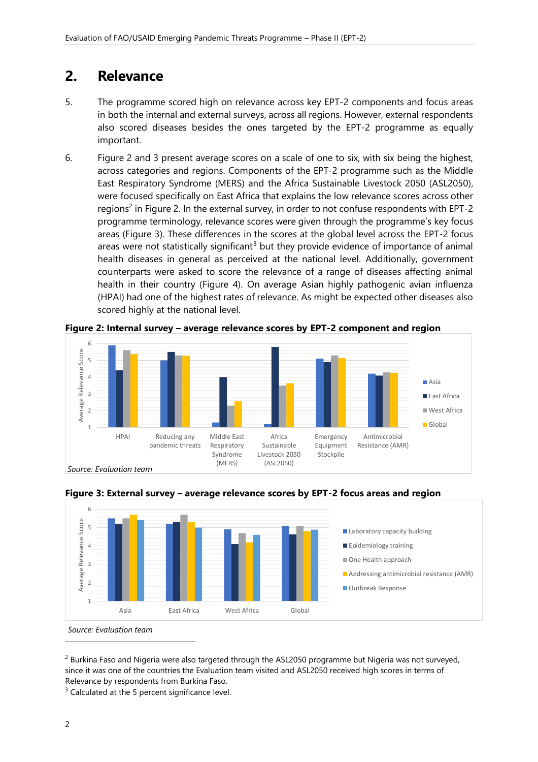## <span id="page-3-0"></span>**2. Relevance**

- 5. The programme scored high on relevance across key EPT-2 components and focus areas in both the internal and external surveys, across all regions. However, external respondents also scored diseases besides the ones targeted by the EPT-2 programme as equally important.
- 6. Figure 2 and 3 present average scores on a scale of one to six, with six being the highest, across categories and regions. Components of the EPT-2 programme such as the Middle East Respiratory Syndrome (MERS) and the Africa Sustainable Livestock 2050 (ASL2050), were focused specifically on East Africa that explains the low relevance scores across other regions<sup>2</sup> in Figure 2. In the external survey, in order to not confuse respondents with EPT-2 programme terminology, relevance scores were given through the programme's key focus areas (Figure 3). These differences in the scores at the global level across the EPT-2 focus areas were not statistically significant<sup>3</sup> but they provide evidence of importance of animal health diseases in general as perceived at the national level. Additionally, government counterparts were asked to score the relevance of a range of diseases affecting animal health in their country (Figure 4). On average Asian highly pathogenic avian influenza (HPAI) had one of the highest rates of relevance. As might be expected other diseases also scored highly at the national level.



<span id="page-3-1"></span>**Figure 2: Internal survey – average relevance scores by EPT-2 component and region**



<span id="page-3-2"></span>**Figure 3: External survey – average relevance scores by EPT-2 focus areas and region**

*Source: Evaluation team*

<sup>2</sup> Burkina Faso and Nigeria were also targeted through the ASL2050 programme but Nigeria was not surveyed, since it was one of the countries the Evaluation team visited and ASL2050 received high scores in terms of Relevance by respondents from Burkina Faso.

 $3$  Calculated at the 5 percent significance level.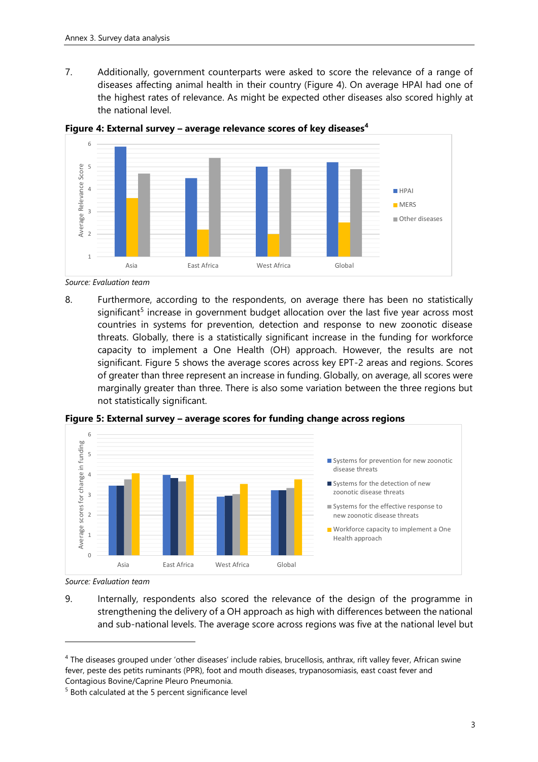7. Additionally, government counterparts were asked to score the relevance of a range of diseases affecting animal health in their country (Figure 4). On average HPAI had one of the highest rates of relevance. As might be expected other diseases also scored highly at the national level.



<span id="page-4-0"></span>**Figure 4: External survey – average relevance scores of key diseases<sup>4</sup>**

*Source: Evaluation team*

8. Furthermore, according to the respondents, on average there has been no statistically significant<sup>5</sup> increase in government budget allocation over the last five year across most countries in systems for prevention, detection and response to new zoonotic disease threats. Globally, there is a statistically significant increase in the funding for workforce capacity to implement a One Health (OH) approach. However, the results are not significant. Figure 5 shows the average scores across key EPT-2 areas and regions. Scores of greater than three represent an increase in funding. Globally, on average, all scores were marginally greater than three. There is also some variation between the three regions but not statistically significant.



<span id="page-4-1"></span>**Figure 5: External survey – average scores for funding change across regions**

*Source: Evaluation team*

9. Internally, respondents also scored the relevance of the design of the programme in strengthening the delivery of a OH approach as high with differences between the national and sub-national levels. The average score across regions was five at the national level but

<sup>4</sup> The diseases grouped under 'other diseases' include rabies, brucellosis, anthrax, rift valley fever, African swine fever, peste des petits ruminants (PPR), foot and mouth diseases, trypanosomiasis, east coast fever and Contagious Bovine/Caprine Pleuro Pneumonia.

<sup>5</sup> Both calculated at the 5 percent significance level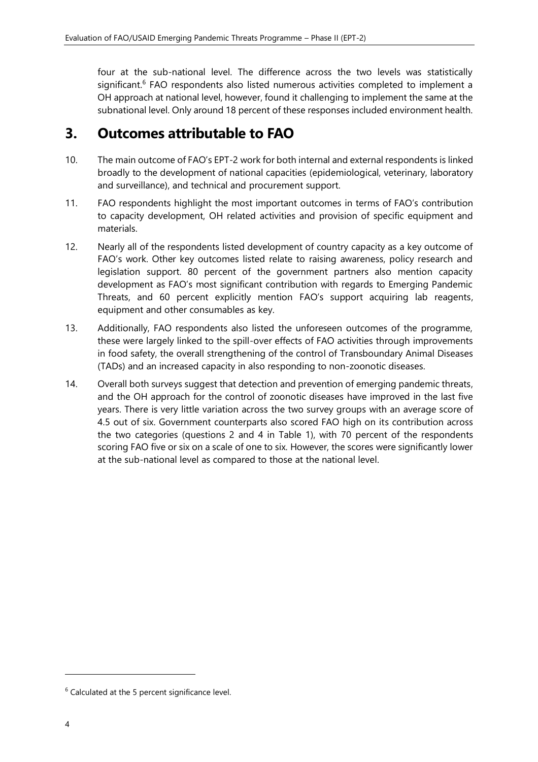four at the sub-national level. The difference across the two levels was statistically significant.<sup>6</sup> FAO respondents also listed numerous activities completed to implement a OH approach at national level, however, found it challenging to implement the same at the subnational level. Only around 18 percent of these responses included environment health.

## <span id="page-5-0"></span>**3. Outcomes attributable to FAO**

- 10. The main outcome of FAO's EPT-2 work for both internal and external respondents is linked broadly to the development of national capacities (epidemiological, veterinary, laboratory and surveillance), and technical and procurement support.
- 11. FAO respondents highlight the most important outcomes in terms of FAO's contribution to capacity development, OH related activities and provision of specific equipment and materials.
- 12. Nearly all of the respondents listed development of country capacity as a key outcome of FAO's work. Other key outcomes listed relate to raising awareness, policy research and legislation support. 80 percent of the government partners also mention capacity development as FAO's most significant contribution with regards to Emerging Pandemic Threats, and 60 percent explicitly mention FAO's support acquiring lab reagents, equipment and other consumables as key.
- 13. Additionally, FAO respondents also listed the unforeseen outcomes of the programme, these were largely linked to the spill-over effects of FAO activities through improvements in food safety, the overall strengthening of the control of Transboundary Animal Diseases (TADs) and an increased capacity in also responding to non-zoonotic diseases.
- 14. Overall both surveys suggest that detection and prevention of emerging pandemic threats, and the OH approach for the control of zoonotic diseases have improved in the last five years. There is very little variation across the two survey groups with an average score of 4.5 out of six. Government counterparts also scored FAO high on its contribution across the two categories (questions 2 and 4 in Table 1), with 70 percent of the respondents scoring FAO five or six on a scale of one to six. However, the scores were significantly lower at the sub-national level as compared to those at the national level.

 $6$  Calculated at the 5 percent significance level.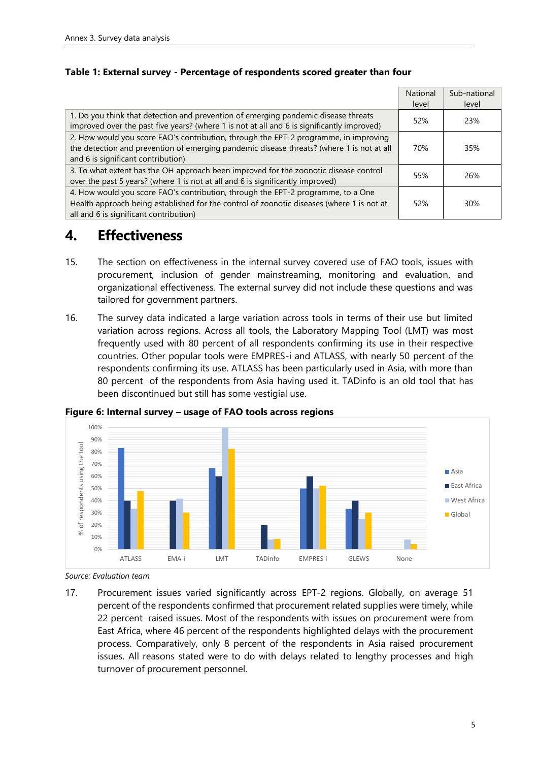|                                                                                                                                                                                                                         | National | Sub-national    |
|-------------------------------------------------------------------------------------------------------------------------------------------------------------------------------------------------------------------------|----------|-----------------|
|                                                                                                                                                                                                                         | level    | level           |
| 1. Do you think that detection and prevention of emerging pandemic disease threats<br>improved over the past five years? (where 1 is not at all and 6 is significantly improved)                                        | 52%      | 23%             |
| 2. How would you score FAO's contribution, through the EPT-2 programme, in improving<br>the detection and prevention of emerging pandemic disease threats? (where 1 is not at all<br>and 6 is significant contribution) | 70%      | 35%             |
| 3. To what extent has the OH approach been improved for the zoonotic disease control<br>over the past 5 years? (where 1 is not at all and 6 is significantly improved)                                                  | 55%      | 26%             |
| 4. How would you score FAO's contribution, through the EPT-2 programme, to a One<br>Health approach being established for the control of zoonotic diseases (where 1 is not at<br>all and 6 is significant contribution) | 52%      | 30 <sup>%</sup> |

### <span id="page-6-2"></span>**Table 1: External survey - Percentage of respondents scored greater than four**

### <span id="page-6-0"></span>**4. Effectiveness**

- 15. The section on effectiveness in the internal survey covered use of FAO tools, issues with procurement, inclusion of gender mainstreaming, monitoring and evaluation, and organizational effectiveness. The external survey did not include these questions and was tailored for government partners.
- 16. The survey data indicated a large variation across tools in terms of their use but limited variation across regions. Across all tools, the Laboratory Mapping Tool (LMT) was most frequently used with 80 percent of all respondents confirming its use in their respective countries. Other popular tools were EMPRES-i and ATLASS, with nearly 50 percent of the respondents confirming its use. ATLASS has been particularly used in Asia, with more than 80 percent of the respondents from Asia having used it. TADinfo is an old tool that has been discontinued but still has some vestigial use.



<span id="page-6-1"></span>**Figure 6: Internal survey – usage of FAO tools across regions**

*Source: Evaluation team*

17. Procurement issues varied significantly across EPT-2 regions. Globally, on average 51 percent of the respondents confirmed that procurement related supplies were timely, while 22 percent raised issues. Most of the respondents with issues on procurement were from East Africa, where 46 percent of the respondents highlighted delays with the procurement process. Comparatively, only 8 percent of the respondents in Asia raised procurement issues. All reasons stated were to do with delays related to lengthy processes and high turnover of procurement personnel.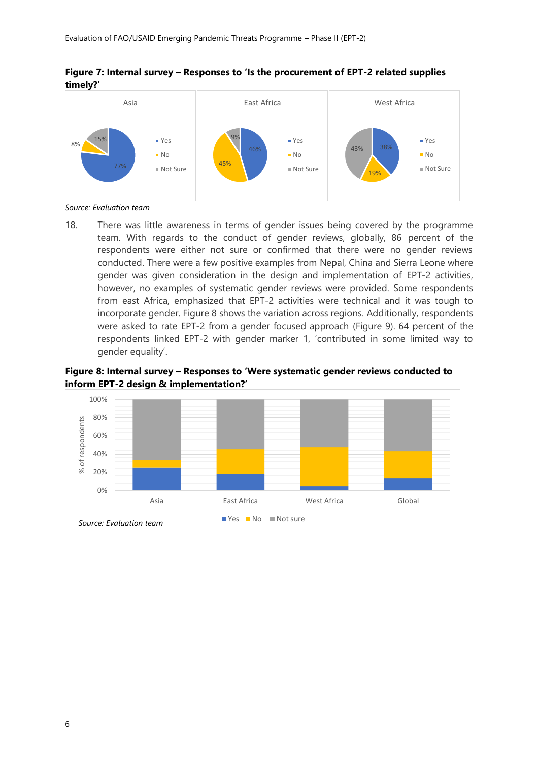

### <span id="page-7-0"></span>**Figure 7: Internal survey – Responses to 'Is the procurement of EPT-2 related supplies timely?'**

*Source: Evaluation team*

18. There was little awareness in terms of gender issues being covered by the programme team. With regards to the conduct of gender reviews, globally, 86 percent of the respondents were either not sure or confirmed that there were no gender reviews conducted. There were a few positive examples from Nepal, China and Sierra Leone where gender was given consideration in the design and implementation of EPT-2 activities, however, no examples of systematic gender reviews were provided. Some respondents from east Africa, emphasized that EPT-2 activities were technical and it was tough to incorporate gender. Figure 8 shows the variation across regions. Additionally, respondents were asked to rate EPT-2 from a gender focused approach (Figure 9). 64 percent of the respondents linked EPT-2 with gender marker 1, 'contributed in some limited way to gender equality'.

### <span id="page-7-1"></span>**Figure 8: Internal survey – Responses to 'Were systematic gender reviews conducted to inform EPT-2 design & implementation?'**

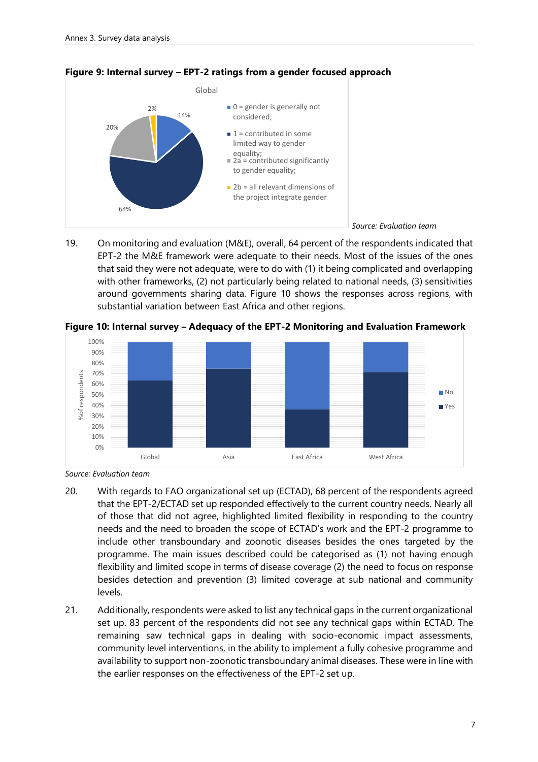

#### <span id="page-8-0"></span>**Figure 9: Internal survey – EPT-2 ratings from a gender focused approach**

19. On monitoring and evaluation (M&E), overall, 64 percent of the respondents indicated that EPT-2 the M&E framework were adequate to their needs. Most of the issues of the ones that said they were not adequate, were to do with (1) it being complicated and overlapping with other frameworks, (2) not particularly being related to national needs, (3) sensitivities around governments sharing data. Figure 10 shows the responses across regions, with substantial variation between East Africa and other regions.



<span id="page-8-1"></span>**Figure 10: Internal survey – Adequacy of the EPT-2 Monitoring and Evaluation Framework**

- 20. With regards to FAO organizational set up (ECTAD), 68 percent of the respondents agreed that the EPT-2/ECTAD set up responded effectively to the current country needs. Nearly all of those that did not agree, highlighted limited flexibility in responding to the country needs and the need to broaden the scope of ECTAD's work and the EPT-2 programme to include other transboundary and zoonotic diseases besides the ones targeted by the programme. The main issues described could be categorised as (1) not having enough flexibility and limited scope in terms of disease coverage (2) the need to focus on response besides detection and prevention (3) limited coverage at sub national and community levels.
- 21. Additionally, respondents were asked to list any technical gaps in the current organizational set up. 83 percent of the respondents did not see any technical gaps within ECTAD. The remaining saw technical gaps in dealing with socio-economic impact assessments, community level interventions, in the ability to implement a fully cohesive programme and availability to support non-zoonotic transboundary animal diseases. These were in line with the earlier responses on the effectiveness of the EPT-2 set up.

*Source: Evaluation team*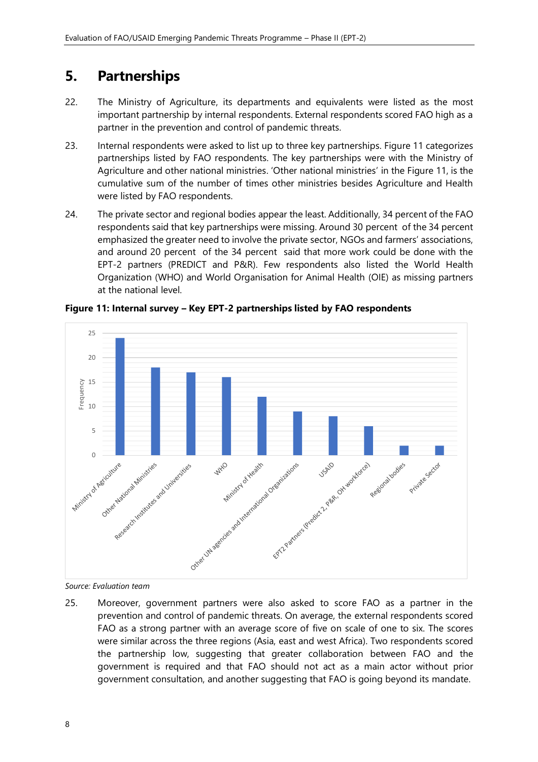# <span id="page-9-0"></span>**5. Partnerships**

- 22. The Ministry of Agriculture, its departments and equivalents were listed as the most important partnership by internal respondents. External respondents scored FAO high as a partner in the prevention and control of pandemic threats.
- 23. Internal respondents were asked to list up to three key partnerships. Figure 11 categorizes partnerships listed by FAO respondents. The key partnerships were with the Ministry of Agriculture and other national ministries. 'Other national ministries' in the Figure 11, is the cumulative sum of the number of times other ministries besides Agriculture and Health were listed by FAO respondents.
- 24. The private sector and regional bodies appear the least. Additionally, 34 percent of the FAO respondents said that key partnerships were missing. Around 30 percent of the 34 percent emphasized the greater need to involve the private sector, NGOs and farmers' associations, and around 20 percent of the 34 percent said that more work could be done with the EPT-2 partners (PREDICT and P&R). Few respondents also listed the World Health Organization (WHO) and World Organisation for Animal Health (OIE) as missing partners at the national level.



<span id="page-9-1"></span>**Figure 11: Internal survey – Key EPT-2 partnerships listed by FAO respondents**

25. Moreover, government partners were also asked to score FAO as a partner in the prevention and control of pandemic threats. On average, the external respondents scored FAO as a strong partner with an average score of five on scale of one to six. The scores were similar across the three regions (Asia, east and west Africa). Two respondents scored the partnership low, suggesting that greater collaboration between FAO and the government is required and that FAO should not act as a main actor without prior government consultation, and another suggesting that FAO is going beyond its mandate.

*Source: Evaluation team*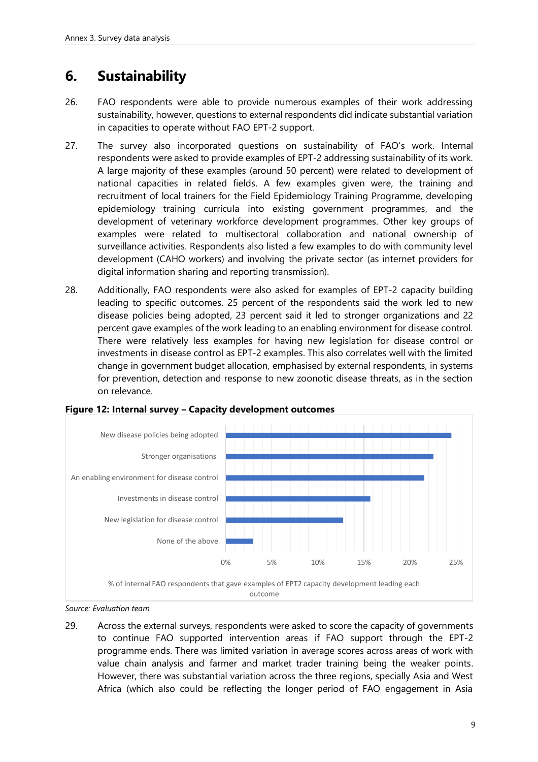# <span id="page-10-0"></span>**6. Sustainability**

- 26. FAO respondents were able to provide numerous examples of their work addressing sustainability, however, questions to external respondents did indicate substantial variation in capacities to operate without FAO EPT-2 support.
- 27. The survey also incorporated questions on sustainability of FAO's work. Internal respondents were asked to provide examples of EPT-2 addressing sustainability of its work. A large majority of these examples (around 50 percent) were related to development of national capacities in related fields. A few examples given were, the training and recruitment of local trainers for the Field Epidemiology Training Programme, developing epidemiology training curricula into existing government programmes, and the development of veterinary workforce development programmes. Other key groups of examples were related to multisectoral collaboration and national ownership of surveillance activities. Respondents also listed a few examples to do with community level development (CAHO workers) and involving the private sector (as internet providers for digital information sharing and reporting transmission).
- 28. Additionally, FAO respondents were also asked for examples of EPT-2 capacity building leading to specific outcomes. 25 percent of the respondents said the work led to new disease policies being adopted, 23 percent said it led to stronger organizations and 22 percent gave examples of the work leading to an enabling environment for disease control. There were relatively less examples for having new legislation for disease control or investments in disease control as EPT-2 examples. This also correlates well with the limited change in government budget allocation, emphasised by external respondents, in systems for prevention, detection and response to new zoonotic disease threats, as in the section on relevance.



### <span id="page-10-1"></span>**Figure 12: Internal survey – Capacity development outcomes**

29. Across the external surveys, respondents were asked to score the capacity of governments to continue FAO supported intervention areas if FAO support through the EPT-2 programme ends. There was limited variation in average scores across areas of work with value chain analysis and farmer and market trader training being the weaker points. However, there was substantial variation across the three regions, specially Asia and West Africa (which also could be reflecting the longer period of FAO engagement in Asia

*Source: Evaluation team*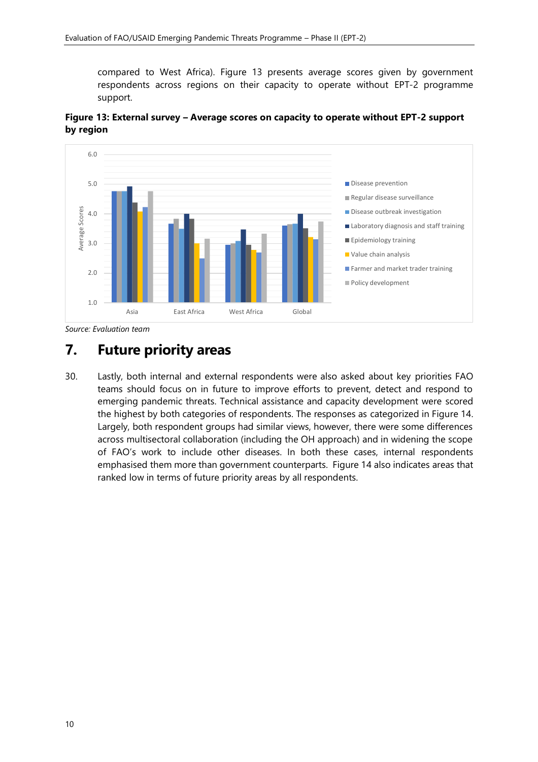compared to West Africa). Figure 13 presents average scores given by government respondents across regions on their capacity to operate without EPT-2 programme support.



<span id="page-11-1"></span>**Figure 13: External survey – Average scores on capacity to operate without EPT-2 support by region**

*Source: Evaluation team*

### <span id="page-11-0"></span>**7. Future priority areas**

30. Lastly, both internal and external respondents were also asked about key priorities FAO teams should focus on in future to improve efforts to prevent, detect and respond to emerging pandemic threats. Technical assistance and capacity development were scored the highest by both categories of respondents. The responses as categorized in Figure 14. Largely, both respondent groups had similar views, however, there were some differences across multisectoral collaboration (including the OH approach) and in widening the scope of FAO's work to include other diseases. In both these cases, internal respondents emphasised them more than government counterparts. Figure 14 also indicates areas that ranked low in terms of future priority areas by all respondents.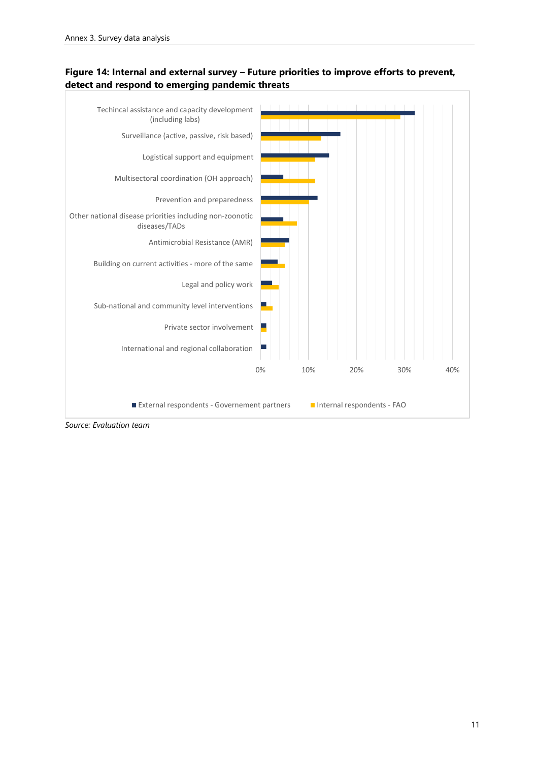<span id="page-12-0"></span>



*Source: Evaluation team*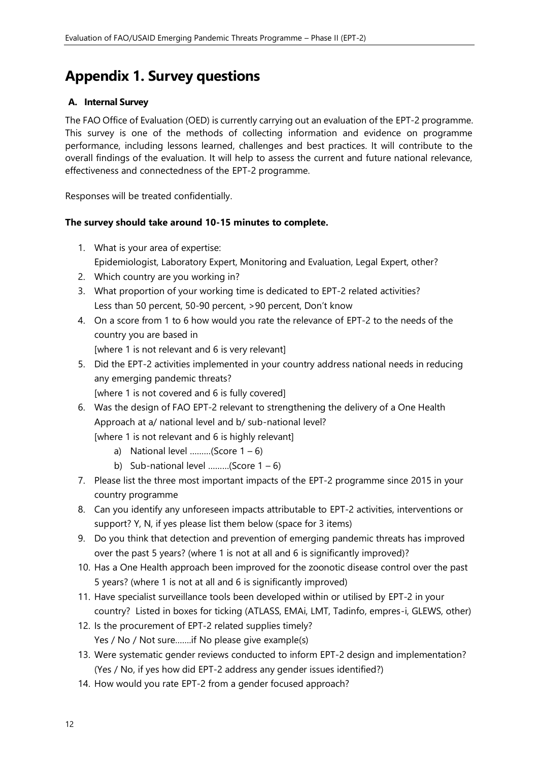# <span id="page-13-0"></span>**Appendix 1. Survey questions**

### <span id="page-13-1"></span>**A. Internal Survey**

The FAO Office of Evaluation (OED) is currently carrying out an evaluation of the EPT-2 programme. This survey is one of the methods of collecting information and evidence on programme performance, including lessons learned, challenges and best practices. It will contribute to the overall findings of the evaluation. It will help to assess the current and future national relevance, effectiveness and connectedness of the EPT-2 programme.

Responses will be treated confidentially.

### **The survey should take around 10-15 minutes to complete.**

- 1. What is your area of expertise: Epidemiologist, Laboratory Expert, Monitoring and Evaluation, Legal Expert, other?
- 2. Which country are you working in?
- 3. What proportion of your working time is dedicated to EPT-2 related activities? Less than 50 percent, 50-90 percent, >90 percent, Don't know
- 4. On a score from 1 to 6 how would you rate the relevance of EPT-2 to the needs of the country you are based in
	- [where 1 is not relevant and 6 is very relevant]
- 5. Did the EPT-2 activities implemented in your country address national needs in reducing any emerging pandemic threats? [where 1 is not covered and 6 is fully covered]
- 6. Was the design of FAO EPT-2 relevant to strengthening the delivery of a One Health Approach at a/ national level and b/ sub-national level? [where 1 is not relevant and 6 is highly relevant]
	- a) National level .........(Score  $1 6$ )
	- b) Sub-national level .........(Score  $1 6$ )
- 7. Please list the three most important impacts of the EPT-2 programme since 2015 in your country programme
- 8. Can you identify any unforeseen impacts attributable to EPT-2 activities, interventions or support? Y, N, if yes please list them below (space for 3 items)
- 9. Do you think that detection and prevention of emerging pandemic threats has improved over the past 5 years? (where 1 is not at all and 6 is significantly improved)?
- 10. Has a One Health approach been improved for the zoonotic disease control over the past 5 years? (where 1 is not at all and 6 is significantly improved)
- 11. Have specialist surveillance tools been developed within or utilised by EPT-2 in your country? Listed in boxes for ticking (ATLASS, EMAi, LMT, Tadinfo, empres-i, GLEWS, other)
- 12. Is the procurement of EPT-2 related supplies timely? Yes / No / Not sure…….if No please give example(s)
- 13. Were systematic gender reviews conducted to inform EPT-2 design and implementation? (Yes / No, if yes how did EPT-2 address any gender issues identified?)
- 14. How would you rate EPT-2 from a gender focused approach?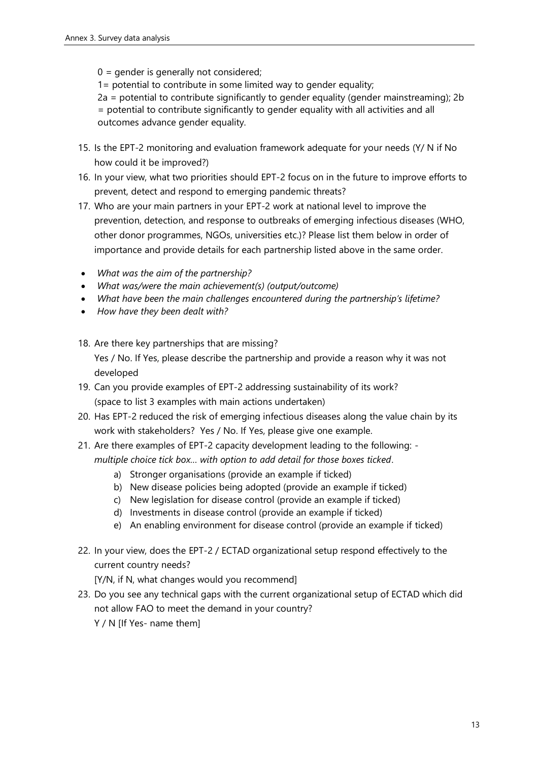0 = gender is generally not considered;

1= potential to contribute in some limited way to gender equality;

2a = potential to contribute significantly to gender equality (gender mainstreaming); 2b

= potential to contribute significantly to gender equality with all activities and all outcomes advance gender equality.

- 15. Is the EPT-2 monitoring and evaluation framework adequate for your needs (Y/ N if No how could it be improved?)
- 16. In your view, what two priorities should EPT-2 focus on in the future to improve efforts to prevent, detect and respond to emerging pandemic threats?
- 17. Who are your main partners in your EPT-2 work at national level to improve the prevention, detection, and response to outbreaks of emerging infectious diseases (WHO, other donor programmes, NGOs, universities etc.)? Please list them below in order of importance and provide details for each partnership listed above in the same order.
- *What was the aim of the partnership?*
- *What was/were the main achievement(s) (output/outcome)*
- *What have been the main challenges encountered during the partnership's lifetime?*
- *How have they been dealt with?*
- 18. Are there key partnerships that are missing? Yes / No. If Yes, please describe the partnership and provide a reason why it was not developed
- 19. Can you provide examples of EPT-2 addressing sustainability of its work? (space to list 3 examples with main actions undertaken)
- 20. Has EPT-2 reduced the risk of emerging infectious diseases along the value chain by its work with stakeholders? Yes / No. If Yes, please give one example.
- 21. Are there examples of EPT-2 capacity development leading to the following: *multiple choice tick box… with option to add detail for those boxes ticked*.
	- a) Stronger organisations (provide an example if ticked)
	- b) New disease policies being adopted (provide an example if ticked)
	- c) New legislation for disease control (provide an example if ticked)
	- d) Investments in disease control (provide an example if ticked)
	- e) An enabling environment for disease control (provide an example if ticked)
- 22. In your view, does the EPT-2 / ECTAD organizational setup respond effectively to the current country needs?

[Y/N, if N, what changes would you recommend]

23. Do you see any technical gaps with the current organizational setup of ECTAD which did not allow FAO to meet the demand in your country? Y / N [If Yes- name them]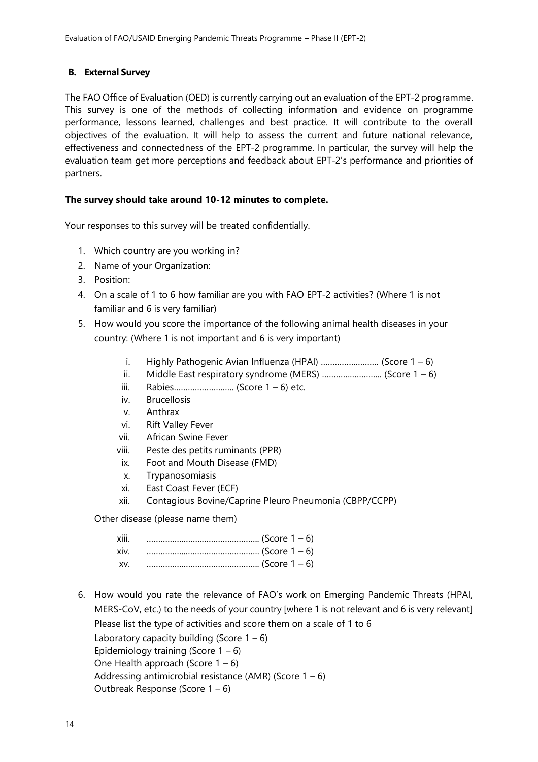### <span id="page-15-0"></span>**B. External Survey**

The FAO Office of Evaluation (OED) is currently carrying out an evaluation of the EPT-2 programme. This survey is one of the methods of collecting information and evidence on programme performance, lessons learned, challenges and best practice. It will contribute to the overall objectives of the evaluation. It will help to assess the current and future national relevance, effectiveness and connectedness of the EPT-2 programme. In particular, the survey will help the evaluation team get more perceptions and feedback about EPT-2's performance and priorities of partners.

### **The survey should take around 10-12 minutes to complete.**

Your responses to this survey will be treated confidentially.

- 1. Which country are you working in?
- 2. Name of your Organization:
- 3. Position:
- 4. On a scale of 1 to 6 how familiar are you with FAO EPT-2 activities? (Where 1 is not familiar and 6 is very familiar)
- 5. How would you score the importance of the following animal health diseases in your country: (Where 1 is not important and 6 is very important)
	- i. Highly Pathogenic Avian Influenza (HPAI)  $\ldots$   $\ldots$   $\ldots$   $\ldots$  (Score 1 6)
	- ii. Middle East respiratory syndrome (MERS) ............................... (Score  $1 6$ )
	- iii. Rabies…………………….. (Score 1 6) etc.
	- iv. Brucellosis
	- v. Anthrax
	- vi. Rift Valley Fever
	- vii. African Swine Fever
	- viii. Peste des petits ruminants (PPR)
	- ix. Foot and Mouth Disease (FMD)
	- x. Trypanosomiasis
	- xi. East Coast Fever (ECF)
	- xii. Contagious Bovine/Caprine Pleuro Pneumonia (CBPP/CCPP)

Other disease (please name them)

| xiii. |  |
|-------|--|
| xiv.  |  |
| XV.   |  |

6. How would you rate the relevance of FAO's work on Emerging Pandemic Threats (HPAI, MERS-CoV, etc.) to the needs of your country [where 1 is not relevant and 6 is very relevant] Please list the type of activities and score them on a scale of 1 to 6

Laboratory capacity building (Score  $1 - 6$ ) Epidemiology training (Score  $1 - 6$ ) One Health approach (Score  $1 - 6$ ) Addressing antimicrobial resistance (AMR) (Score  $1 - 6$ ) Outbreak Response (Score 1 – 6)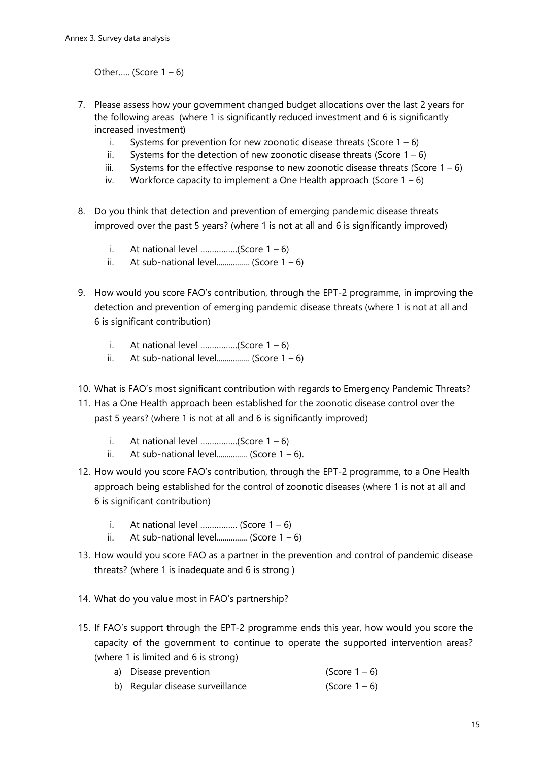Other..... (Score  $1 - 6$ )

- 7. Please assess how your government changed budget allocations over the last 2 years for the following areas (where 1 is significantly reduced investment and 6 is significantly increased investment)
	- i. Systems for prevention for new zoonotic disease threats (Score  $1 6$ )
	- ii. Systems for the detection of new zoonotic disease threats (Score  $1 6$ )
	- iii. Systems for the effective response to new zoonotic disease threats (Score  $1 6$ )
	- iv. Workforce capacity to implement a One Health approach (Score  $1 6$ )
- 8. Do you think that detection and prevention of emerging pandemic disease threats improved over the past 5 years? (where 1 is not at all and 6 is significantly improved)
	- i. At national level  $\ldots$  (Score  $1 6$ )
	- ii. At sub-national level................. (Score  $1 6$ )
- 9. How would you score FAO's contribution, through the EPT-2 programme, in improving the detection and prevention of emerging pandemic disease threats (where 1 is not at all and 6 is significant contribution)
	- i. At national level .................(Score  $1 6$ )
	- ii. At sub-national level................. (Score  $1 6$ )
- 10. What is FAO's most significant contribution with regards to Emergency Pandemic Threats?
- 11. Has a One Health approach been established for the zoonotic disease control over the past 5 years? (where 1 is not at all and 6 is significantly improved)
	- i. At national level  $\ldots$  (Score  $1 6$ )
	- ii. At sub-national level................ (Score  $1 6$ ).
- 12. How would you score FAO's contribution, through the EPT-2 programme, to a One Health approach being established for the control of zoonotic diseases (where 1 is not at all and 6 is significant contribution)
	- i. At national level  $\ldots$  (Score  $1 6$ )
	- ii. At sub-national level................ (Score  $1 6$ )
- 13. How would you score FAO as a partner in the prevention and control of pandemic disease threats? (where 1 is inadequate and 6 is strong )
- 14. What do you value most in FAO's partnership?
- 15. If FAO's support through the EPT-2 programme ends this year, how would you score the capacity of the government to continue to operate the supported intervention areas? (where 1 is limited and 6 is strong)
	- a) Disease prevention  $(Score 1-6)$
	- b) Regular disease surveillance  $(Score 1-6)$